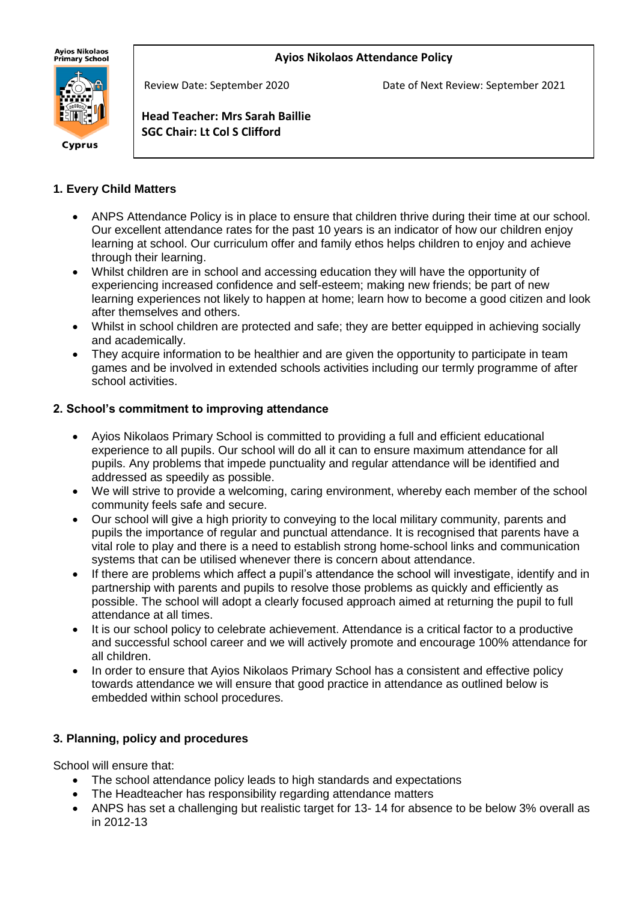## **Ayios Nikolaos Attendance Policy**

Ayios Nikolaos<br>Primary School



Cyprus

Review Date: September 2020 Date of Next Review: September 2021

**Head Teacher: Mrs Sarah Baillie SGC Chair: Lt Col S Clifford**

# **1. Every Child Matters**

İ

- ANPS Attendance Policy is in place to ensure that children thrive during their time at our school. Our excellent attendance rates for the past 10 years is an indicator of how our children enjoy learning at school. Our curriculum offer and family ethos helps children to enjoy and achieve through their learning.
- Whilst children are in school and accessing education they will have the opportunity of experiencing increased confidence and self-esteem; making new friends; be part of new learning experiences not likely to happen at home; learn how to become a good citizen and look after themselves and others.
- Whilst in school children are protected and safe; they are better equipped in achieving socially and academically.
- They acquire information to be healthier and are given the opportunity to participate in team games and be involved in extended schools activities including our termly programme of after school activities.

## **2. School's commitment to improving attendance**

- Ayios Nikolaos Primary School is committed to providing a full and efficient educational experience to all pupils. Our school will do all it can to ensure maximum attendance for all pupils. Any problems that impede punctuality and regular attendance will be identified and addressed as speedily as possible.
- We will strive to provide a welcoming, caring environment, whereby each member of the school community feels safe and secure.
- Our school will give a high priority to conveying to the local military community, parents and pupils the importance of regular and punctual attendance. It is recognised that parents have a vital role to play and there is a need to establish strong home-school links and communication systems that can be utilised whenever there is concern about attendance.
- If there are problems which affect a pupil's attendance the school will investigate, identify and in partnership with parents and pupils to resolve those problems as quickly and efficiently as possible. The school will adopt a clearly focused approach aimed at returning the pupil to full attendance at all times.
- It is our school policy to celebrate achievement. Attendance is a critical factor to a productive and successful school career and we will actively promote and encourage 100% attendance for all children.
- In order to ensure that Ayios Nikolaos Primary School has a consistent and effective policy towards attendance we will ensure that good practice in attendance as outlined below is embedded within school procedures.

## **3. Planning, policy and procedures**

School will ensure that:

- The school attendance policy leads to high standards and expectations
- The Headteacher has responsibility regarding attendance matters
- ANPS has set a challenging but realistic target for 13- 14 for absence to be below 3% overall as in 2012-13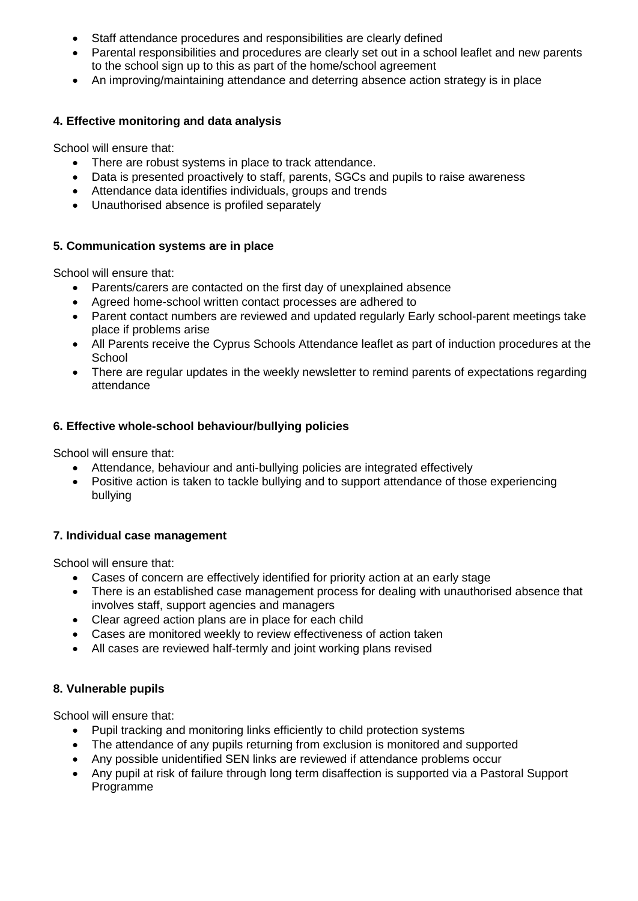- Staff attendance procedures and responsibilities are clearly defined
- Parental responsibilities and procedures are clearly set out in a school leaflet and new parents to the school sign up to this as part of the home/school agreement
- An improving/maintaining attendance and deterring absence action strategy is in place

# **4. Effective monitoring and data analysis**

School will ensure that:

- There are robust systems in place to track attendance.
- Data is presented proactively to staff, parents, SGCs and pupils to raise awareness
- Attendance data identifies individuals, groups and trends
- Unauthorised absence is profiled separately

## **5. Communication systems are in place**

School will ensure that:

- Parents/carers are contacted on the first day of unexplained absence
- Agreed home-school written contact processes are adhered to
- Parent contact numbers are reviewed and updated regularly Early school-parent meetings take place if problems arise
- All Parents receive the Cyprus Schools Attendance leaflet as part of induction procedures at the **School**
- There are regular updates in the weekly newsletter to remind parents of expectations regarding attendance

# **6. Effective whole-school behaviour/bullying policies**

School will ensure that:

- Attendance, behaviour and anti-bullying policies are integrated effectively
- Positive action is taken to tackle bullying and to support attendance of those experiencing bullying

## **7. Individual case management**

School will ensure that:

- Cases of concern are effectively identified for priority action at an early stage
- There is an established case management process for dealing with unauthorised absence that involves staff, support agencies and managers
- Clear agreed action plans are in place for each child
- Cases are monitored weekly to review effectiveness of action taken
- All cases are reviewed half-termly and joint working plans revised

## **8. Vulnerable pupils**

School will ensure that:

- Pupil tracking and monitoring links efficiently to child protection systems
- The attendance of any pupils returning from exclusion is monitored and supported
- Any possible unidentified SEN links are reviewed if attendance problems occur
- Any pupil at risk of failure through long term disaffection is supported via a Pastoral Support Programme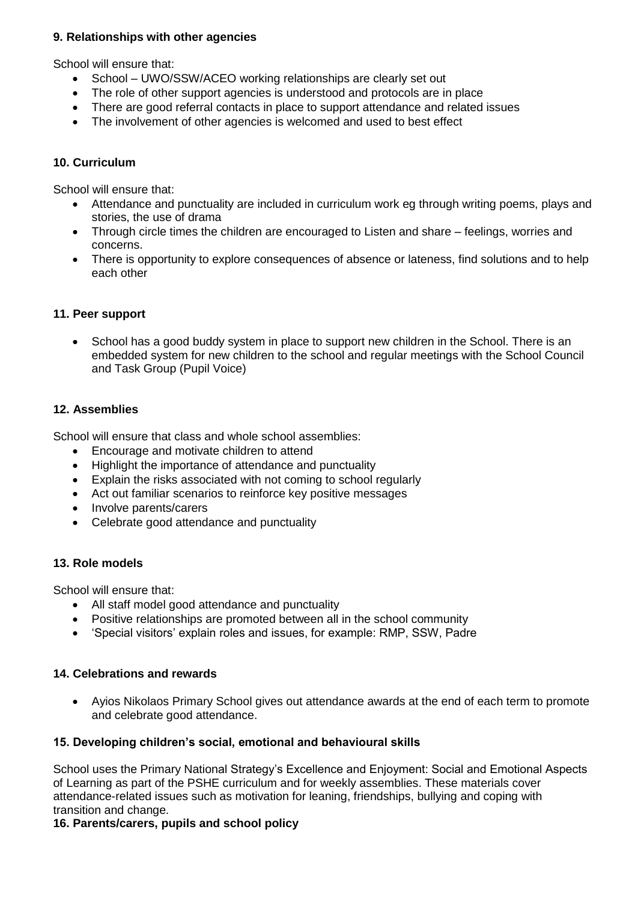## **9. Relationships with other agencies**

School will ensure that:

- School UWO/SSW/ACEO working relationships are clearly set out
- The role of other support agencies is understood and protocols are in place
- There are good referral contacts in place to support attendance and related issues
- The involvement of other agencies is welcomed and used to best effect

## **10. Curriculum**

School will ensure that:

- Attendance and punctuality are included in curriculum work eg through writing poems, plays and stories, the use of drama
- Through circle times the children are encouraged to Listen and share feelings, worries and concerns.
- There is opportunity to explore consequences of absence or lateness, find solutions and to help each other

## **11. Peer support**

• School has a good buddy system in place to support new children in the School. There is an embedded system for new children to the school and regular meetings with the School Council and Task Group (Pupil Voice)

## **12. Assemblies**

School will ensure that class and whole school assemblies:

- Encourage and motivate children to attend
- Highlight the importance of attendance and punctuality
- Explain the risks associated with not coming to school regularly
- Act out familiar scenarios to reinforce key positive messages
- Involve parents/carers
- Celebrate good attendance and punctuality

### **13. Role models**

School will ensure that:

- All staff model good attendance and punctuality
- Positive relationships are promoted between all in the school community
- 'Special visitors' explain roles and issues, for example: RMP, SSW, Padre

### **14. Celebrations and rewards**

• Ayios Nikolaos Primary School gives out attendance awards at the end of each term to promote and celebrate good attendance.

### **15. Developing children's social, emotional and behavioural skills**

School uses the Primary National Strategy's Excellence and Enjoyment: Social and Emotional Aspects of Learning as part of the PSHE curriculum and for weekly assemblies. These materials cover attendance-related issues such as motivation for leaning, friendships, bullying and coping with transition and change.

### **16. Parents/carers, pupils and school policy**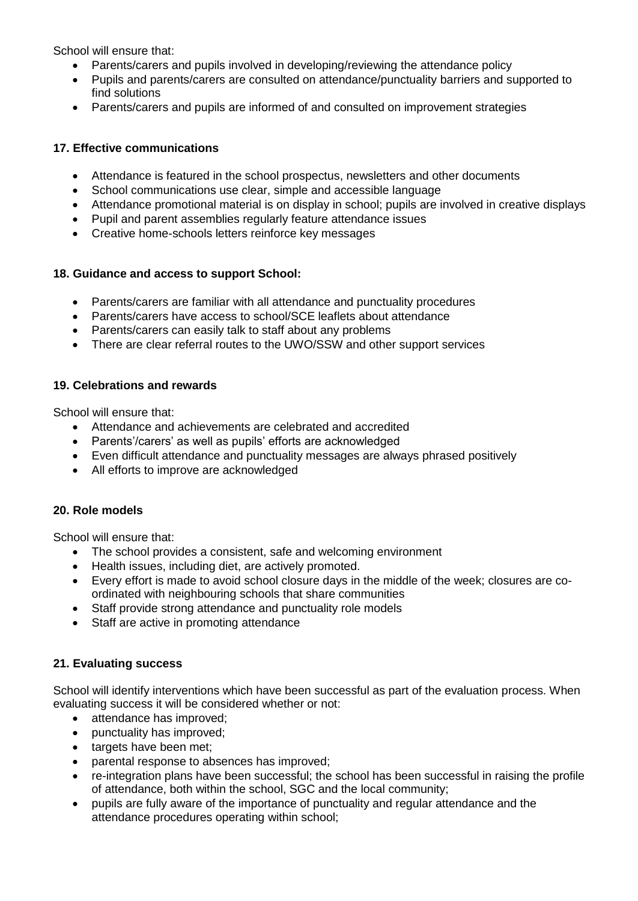School will ensure that:

- Parents/carers and pupils involved in developing/reviewing the attendance policy
- Pupils and parents/carers are consulted on attendance/punctuality barriers and supported to find solutions
- Parents/carers and pupils are informed of and consulted on improvement strategies

## **17. Effective communications**

- Attendance is featured in the school prospectus, newsletters and other documents
- School communications use clear, simple and accessible language
- Attendance promotional material is on display in school; pupils are involved in creative displays
- Pupil and parent assemblies regularly feature attendance issues
- Creative home-schools letters reinforce key messages

### **18. Guidance and access to support School:**

- Parents/carers are familiar with all attendance and punctuality procedures
- Parents/carers have access to school/SCE leaflets about attendance
- Parents/carers can easily talk to staff about any problems
- There are clear referral routes to the UWO/SSW and other support services

### **19. Celebrations and rewards**

School will ensure that:

- Attendance and achievements are celebrated and accredited
- Parents'/carers' as well as pupils' efforts are acknowledged
- Even difficult attendance and punctuality messages are always phrased positively
- All efforts to improve are acknowledged

# **20. Role models**

School will ensure that:

- The school provides a consistent, safe and welcoming environment
- Health issues, including diet, are actively promoted.
- Every effort is made to avoid school closure days in the middle of the week; closures are coordinated with neighbouring schools that share communities
- Staff provide strong attendance and punctuality role models
- Staff are active in promoting attendance

### **21. Evaluating success**

School will identify interventions which have been successful as part of the evaluation process. When evaluating success it will be considered whether or not:

- attendance has improved;
- punctuality has improved;
- targets have been met;
- parental response to absences has improved;
- re-integration plans have been successful; the school has been successful in raising the profile of attendance, both within the school, SGC and the local community;
- pupils are fully aware of the importance of punctuality and regular attendance and the attendance procedures operating within school;